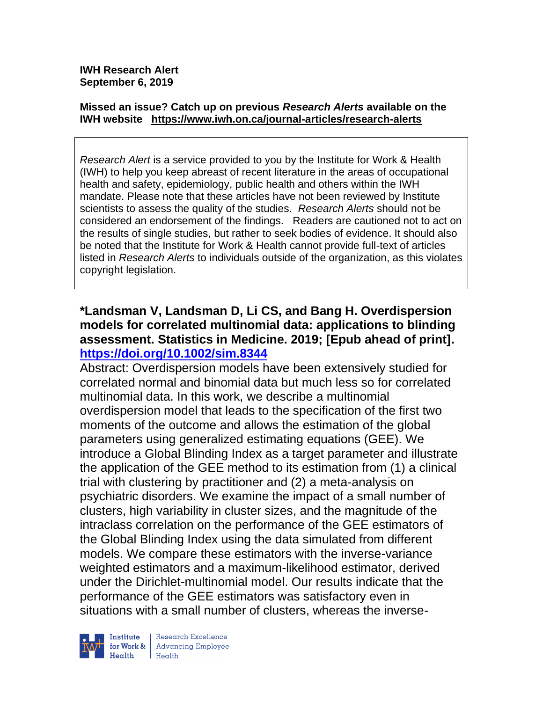**IWH Research Alert September 6, 2019**

#### **Missed an issue? Catch up on previous** *Research Alerts* **available on the [IWH website](http://www.iwh.on.ca/research-alerts) <https://www.iwh.on.ca/journal-articles/research-alerts>**

*Research Alert* is a service provided to you by the Institute for Work & Health (IWH) to help you keep abreast of recent literature in the areas of occupational health and safety, epidemiology, public health and others within the IWH mandate. Please note that these articles have not been reviewed by Institute scientists to assess the quality of the studies. *Research Alerts* should not be considered an endorsement of the findings. Readers are cautioned not to act on the results of single studies, but rather to seek bodies of evidence. It should also be noted that the Institute for Work & Health cannot provide full-text of articles listed in *Research Alerts* to individuals outside of the organization, as this violates copyright legislation.

### **\*Landsman V, Landsman D, Li CS, and Bang H. Overdispersion models for correlated multinomial data: applications to blinding assessment. Statistics in Medicine. 2019; [Epub ahead of print]. <https://doi.org/10.1002/sim.8344>**

Abstract: Overdispersion models have been extensively studied for correlated normal and binomial data but much less so for correlated multinomial data. In this work, we describe a multinomial overdispersion model that leads to the specification of the first two moments of the outcome and allows the estimation of the global parameters using generalized estimating equations (GEE). We introduce a Global Blinding Index as a target parameter and illustrate the application of the GEE method to its estimation from (1) a clinical trial with clustering by practitioner and (2) a meta-analysis on psychiatric disorders. We examine the impact of a small number of clusters, high variability in cluster sizes, and the magnitude of the intraclass correlation on the performance of the GEE estimators of the Global Blinding Index using the data simulated from different models. We compare these estimators with the inverse-variance weighted estimators and a maximum-likelihood estimator, derived under the Dirichlet-multinomial model. Our results indicate that the performance of the GEE estimators was satisfactory even in situations with a small number of clusters, whereas the inverse-



Research Excellence **Advancing Employee** Health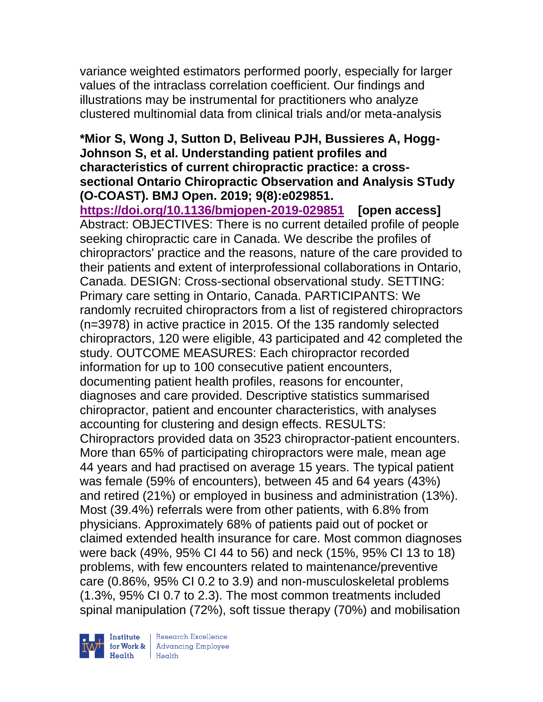variance weighted estimators performed poorly, especially for larger values of the intraclass correlation coefficient. Our findings and illustrations may be instrumental for practitioners who analyze clustered multinomial data from clinical trials and/or meta-analysis

### **\*Mior S, Wong J, Sutton D, Beliveau PJH, Bussieres A, Hogg-Johnson S, et al. Understanding patient profiles and characteristics of current chiropractic practice: a crosssectional Ontario Chiropractic Observation and Analysis STudy (O-COAST). BMJ Open. 2019; 9(8):e029851.**

**<https://doi.org/10.1136/bmjopen-2019-029851> [open access]** Abstract: OBJECTIVES: There is no current detailed profile of people seeking chiropractic care in Canada. We describe the profiles of chiropractors' practice and the reasons, nature of the care provided to their patients and extent of interprofessional collaborations in Ontario, Canada. DESIGN: Cross-sectional observational study. SETTING: Primary care setting in Ontario, Canada. PARTICIPANTS: We randomly recruited chiropractors from a list of registered chiropractors (n=3978) in active practice in 2015. Of the 135 randomly selected chiropractors, 120 were eligible, 43 participated and 42 completed the study. OUTCOME MEASURES: Each chiropractor recorded information for up to 100 consecutive patient encounters, documenting patient health profiles, reasons for encounter, diagnoses and care provided. Descriptive statistics summarised chiropractor, patient and encounter characteristics, with analyses accounting for clustering and design effects. RESULTS: Chiropractors provided data on 3523 chiropractor-patient encounters. More than 65% of participating chiropractors were male, mean age 44 years and had practised on average 15 years. The typical patient was female (59% of encounters), between 45 and 64 years (43%) and retired (21%) or employed in business and administration (13%). Most (39.4%) referrals were from other patients, with 6.8% from physicians. Approximately 68% of patients paid out of pocket or claimed extended health insurance for care. Most common diagnoses were back (49%, 95% CI 44 to 56) and neck (15%, 95% CI 13 to 18) problems, with few encounters related to maintenance/preventive care (0.86%, 95% CI 0.2 to 3.9) and non-musculoskeletal problems (1.3%, 95% CI 0.7 to 2.3). The most common treatments included spinal manipulation (72%), soft tissue therapy (70%) and mobilisation



Institute Research Excellence<br>
for Work & Advancing Employee<br>
Health Health Health Health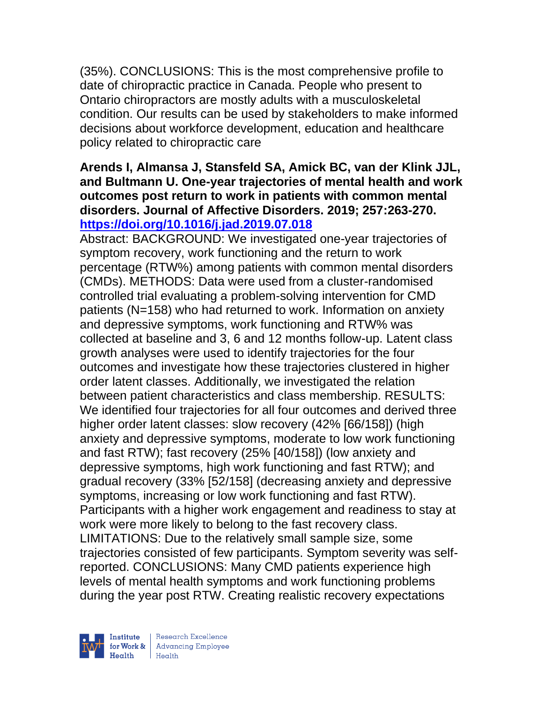(35%). CONCLUSIONS: This is the most comprehensive profile to date of chiropractic practice in Canada. People who present to Ontario chiropractors are mostly adults with a musculoskeletal condition. Our results can be used by stakeholders to make informed decisions about workforce development, education and healthcare policy related to chiropractic care

#### **Arends I, Almansa J, Stansfeld SA, Amick BC, van der Klink JJL, and Bultmann U. One-year trajectories of mental health and work outcomes post return to work in patients with common mental disorders. Journal of Affective Disorders. 2019; 257:263-270. <https://doi.org/10.1016/j.jad.2019.07.018>**

Abstract: BACKGROUND: We investigated one-year trajectories of symptom recovery, work functioning and the return to work percentage (RTW%) among patients with common mental disorders (CMDs). METHODS: Data were used from a cluster-randomised controlled trial evaluating a problem-solving intervention for CMD patients (N=158) who had returned to work. Information on anxiety and depressive symptoms, work functioning and RTW% was collected at baseline and 3, 6 and 12 months follow-up. Latent class growth analyses were used to identify trajectories for the four outcomes and investigate how these trajectories clustered in higher order latent classes. Additionally, we investigated the relation between patient characteristics and class membership. RESULTS: We identified four trajectories for all four outcomes and derived three higher order latent classes: slow recovery (42% [66/158]) (high anxiety and depressive symptoms, moderate to low work functioning and fast RTW); fast recovery (25% [40/158]) (low anxiety and depressive symptoms, high work functioning and fast RTW); and gradual recovery (33% [52/158] (decreasing anxiety and depressive symptoms, increasing or low work functioning and fast RTW). Participants with a higher work engagement and readiness to stay at work were more likely to belong to the fast recovery class. LIMITATIONS: Due to the relatively small sample size, some trajectories consisted of few participants. Symptom severity was selfreported. CONCLUSIONS: Many CMD patients experience high levels of mental health symptoms and work functioning problems during the year post RTW. Creating realistic recovery expectations

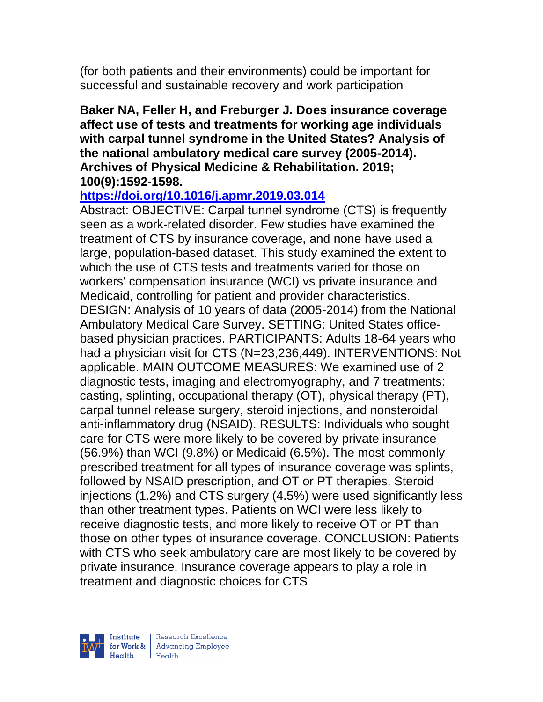(for both patients and their environments) could be important for successful and sustainable recovery and work participation

#### **Baker NA, Feller H, and Freburger J. Does insurance coverage affect use of tests and treatments for working age individuals with carpal tunnel syndrome in the United States? Analysis of the national ambulatory medical care survey (2005-2014). Archives of Physical Medicine & Rehabilitation. 2019; 100(9):1592-1598.**

### **<https://doi.org/10.1016/j.apmr.2019.03.014>**

Abstract: OBJECTIVE: Carpal tunnel syndrome (CTS) is frequently seen as a work-related disorder. Few studies have examined the treatment of CTS by insurance coverage, and none have used a large, population-based dataset. This study examined the extent to which the use of CTS tests and treatments varied for those on workers' compensation insurance (WCI) vs private insurance and Medicaid, controlling for patient and provider characteristics. DESIGN: Analysis of 10 years of data (2005-2014) from the National Ambulatory Medical Care Survey. SETTING: United States officebased physician practices. PARTICIPANTS: Adults 18-64 years who had a physician visit for CTS (N=23,236,449). INTERVENTIONS: Not applicable. MAIN OUTCOME MEASURES: We examined use of 2 diagnostic tests, imaging and electromyography, and 7 treatments: casting, splinting, occupational therapy (OT), physical therapy (PT), carpal tunnel release surgery, steroid injections, and nonsteroidal anti-inflammatory drug (NSAID). RESULTS: Individuals who sought care for CTS were more likely to be covered by private insurance (56.9%) than WCI (9.8%) or Medicaid (6.5%). The most commonly prescribed treatment for all types of insurance coverage was splints, followed by NSAID prescription, and OT or PT therapies. Steroid injections (1.2%) and CTS surgery (4.5%) were used significantly less than other treatment types. Patients on WCI were less likely to receive diagnostic tests, and more likely to receive OT or PT than those on other types of insurance coverage. CONCLUSION: Patients with CTS who seek ambulatory care are most likely to be covered by private insurance. Insurance coverage appears to play a role in treatment and diagnostic choices for CTS



| Research Excellence for Work & Advancing Employee<br>Health Health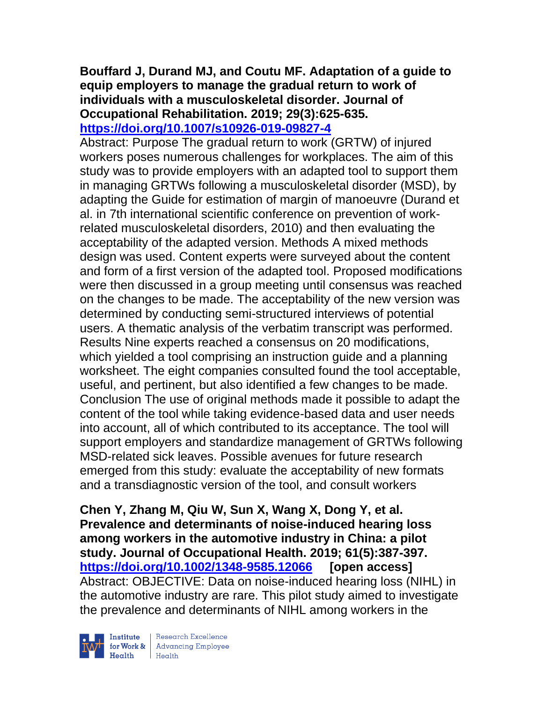### **Bouffard J, Durand MJ, and Coutu MF. Adaptation of a guide to equip employers to manage the gradual return to work of individuals with a musculoskeletal disorder. Journal of Occupational Rehabilitation. 2019; 29(3):625-635. <https://doi.org/10.1007/s10926-019-09827-4>**

Abstract: Purpose The gradual return to work (GRTW) of injured workers poses numerous challenges for workplaces. The aim of this study was to provide employers with an adapted tool to support them in managing GRTWs following a musculoskeletal disorder (MSD), by adapting the Guide for estimation of margin of manoeuvre (Durand et al. in 7th international scientific conference on prevention of workrelated musculoskeletal disorders, 2010) and then evaluating the acceptability of the adapted version. Methods A mixed methods design was used. Content experts were surveyed about the content and form of a first version of the adapted tool. Proposed modifications were then discussed in a group meeting until consensus was reached on the changes to be made. The acceptability of the new version was determined by conducting semi-structured interviews of potential users. A thematic analysis of the verbatim transcript was performed. Results Nine experts reached a consensus on 20 modifications, which yielded a tool comprising an instruction guide and a planning worksheet. The eight companies consulted found the tool acceptable, useful, and pertinent, but also identified a few changes to be made. Conclusion The use of original methods made it possible to adapt the content of the tool while taking evidence-based data and user needs into account, all of which contributed to its acceptance. The tool will support employers and standardize management of GRTWs following MSD-related sick leaves. Possible avenues for future research emerged from this study: evaluate the acceptability of new formats and a transdiagnostic version of the tool, and consult workers

**Chen Y, Zhang M, Qiu W, Sun X, Wang X, Dong Y, et al. Prevalence and determinants of noise-induced hearing loss among workers in the automotive industry in China: a pilot study. Journal of Occupational Health. 2019; 61(5):387-397. <https://doi.org/10.1002/1348-9585.12066> [open access]** Abstract: OBJECTIVE: Data on noise-induced hearing loss (NIHL) in the automotive industry are rare. This pilot study aimed to investigate the prevalence and determinants of NIHL among workers in the



Research Excellence Institute<br>
for Work & Advancing Employee<br>
Health Health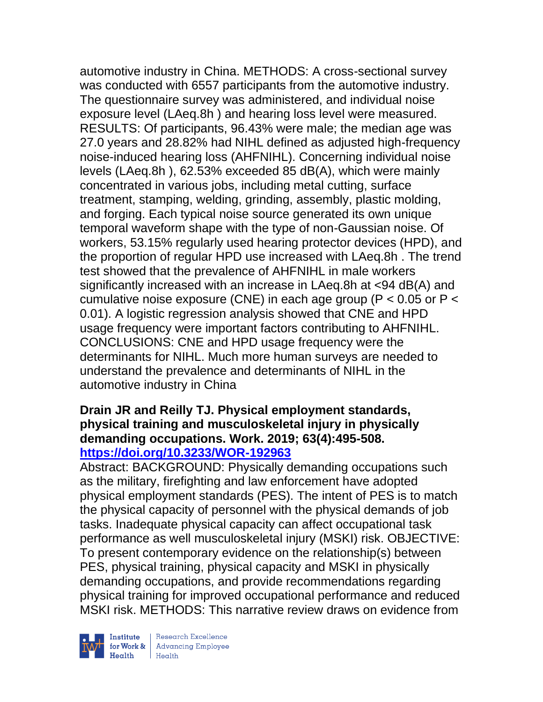automotive industry in China. METHODS: A cross-sectional survey was conducted with 6557 participants from the automotive industry. The questionnaire survey was administered, and individual noise exposure level (LAeq.8h ) and hearing loss level were measured. RESULTS: Of participants, 96.43% were male; the median age was 27.0 years and 28.82% had NIHL defined as adjusted high-frequency noise-induced hearing loss (AHFNIHL). Concerning individual noise levels (LAeq.8h ), 62.53% exceeded 85 dB(A), which were mainly concentrated in various jobs, including metal cutting, surface treatment, stamping, welding, grinding, assembly, plastic molding, and forging. Each typical noise source generated its own unique temporal waveform shape with the type of non-Gaussian noise. Of workers, 53.15% regularly used hearing protector devices (HPD), and the proportion of regular HPD use increased with LAeq.8h . The trend test showed that the prevalence of AHFNIHL in male workers significantly increased with an increase in LAeq.8h at <94 dB(A) and cumulative noise exposure (CNE) in each age group (P < 0.05 or P < 0.01). A logistic regression analysis showed that CNE and HPD usage frequency were important factors contributing to AHFNIHL. CONCLUSIONS: CNE and HPD usage frequency were the determinants for NIHL. Much more human surveys are needed to understand the prevalence and determinants of NIHL in the automotive industry in China

#### **Drain JR and Reilly TJ. Physical employment standards, physical training and musculoskeletal injury in physically demanding occupations. Work. 2019; 63(4):495-508. <https://doi.org/10.3233/WOR-192963>**

Abstract: BACKGROUND: Physically demanding occupations such as the military, firefighting and law enforcement have adopted physical employment standards (PES). The intent of PES is to match the physical capacity of personnel with the physical demands of job tasks. Inadequate physical capacity can affect occupational task performance as well musculoskeletal injury (MSKI) risk. OBJECTIVE: To present contemporary evidence on the relationship(s) between PES, physical training, physical capacity and MSKI in physically demanding occupations, and provide recommendations regarding physical training for improved occupational performance and reduced MSKI risk. METHODS: This narrative review draws on evidence from



| Research Excellence Finantium Research Excellence<br>
Finantium Research Employee<br>
Realth Health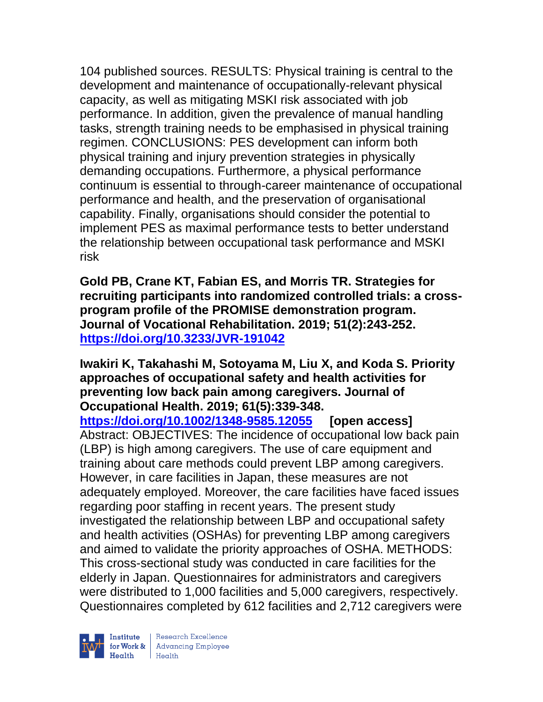104 published sources. RESULTS: Physical training is central to the development and maintenance of occupationally-relevant physical capacity, as well as mitigating MSKI risk associated with job performance. In addition, given the prevalence of manual handling tasks, strength training needs to be emphasised in physical training regimen. CONCLUSIONS: PES development can inform both physical training and injury prevention strategies in physically demanding occupations. Furthermore, a physical performance continuum is essential to through-career maintenance of occupational performance and health, and the preservation of organisational capability. Finally, organisations should consider the potential to implement PES as maximal performance tests to better understand the relationship between occupational task performance and MSKI risk

**Gold PB, Crane KT, Fabian ES, and Morris TR. Strategies for recruiting participants into randomized controlled trials: a crossprogram profile of the PROMISE demonstration program. Journal of Vocational Rehabilitation. 2019; 51(2):243-252. <https://doi.org/10.3233/JVR-191042>** 

**Iwakiri K, Takahashi M, Sotoyama M, Liu X, and Koda S. Priority approaches of occupational safety and health activities for preventing low back pain among caregivers. Journal of Occupational Health. 2019; 61(5):339-348.** 

**<https://doi.org/10.1002/1348-9585.12055> [open access]** Abstract: OBJECTIVES: The incidence of occupational low back pain (LBP) is high among caregivers. The use of care equipment and training about care methods could prevent LBP among caregivers. However, in care facilities in Japan, these measures are not adequately employed. Moreover, the care facilities have faced issues regarding poor staffing in recent years. The present study investigated the relationship between LBP and occupational safety and health activities (OSHAs) for preventing LBP among caregivers and aimed to validate the priority approaches of OSHA. METHODS: This cross-sectional study was conducted in care facilities for the elderly in Japan. Questionnaires for administrators and caregivers were distributed to 1,000 facilities and 5,000 caregivers, respectively. Questionnaires completed by 612 facilities and 2,712 caregivers were

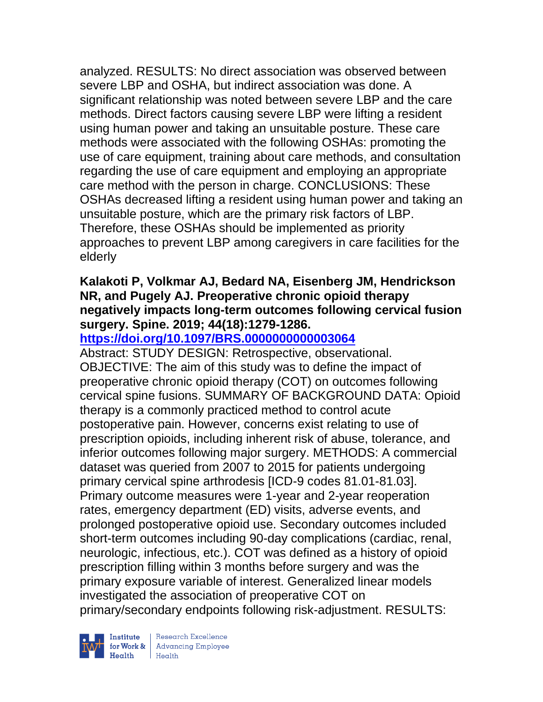analyzed. RESULTS: No direct association was observed between severe LBP and OSHA, but indirect association was done. A significant relationship was noted between severe LBP and the care methods. Direct factors causing severe LBP were lifting a resident using human power and taking an unsuitable posture. These care methods were associated with the following OSHAs: promoting the use of care equipment, training about care methods, and consultation regarding the use of care equipment and employing an appropriate care method with the person in charge. CONCLUSIONS: These OSHAs decreased lifting a resident using human power and taking an unsuitable posture, which are the primary risk factors of LBP. Therefore, these OSHAs should be implemented as priority approaches to prevent LBP among caregivers in care facilities for the elderly

### **Kalakoti P, Volkmar AJ, Bedard NA, Eisenberg JM, Hendrickson NR, and Pugely AJ. Preoperative chronic opioid therapy negatively impacts long-term outcomes following cervical fusion surgery. Spine. 2019; 44(18):1279-1286.**

## **<https://doi.org/10.1097/BRS.0000000000003064>**

Abstract: STUDY DESIGN: Retrospective, observational. OBJECTIVE: The aim of this study was to define the impact of preoperative chronic opioid therapy (COT) on outcomes following cervical spine fusions. SUMMARY OF BACKGROUND DATA: Opioid therapy is a commonly practiced method to control acute postoperative pain. However, concerns exist relating to use of prescription opioids, including inherent risk of abuse, tolerance, and inferior outcomes following major surgery. METHODS: A commercial dataset was queried from 2007 to 2015 for patients undergoing primary cervical spine arthrodesis [ICD-9 codes 81.01-81.03]. Primary outcome measures were 1-year and 2-year reoperation rates, emergency department (ED) visits, adverse events, and prolonged postoperative opioid use. Secondary outcomes included short-term outcomes including 90-day complications (cardiac, renal, neurologic, infectious, etc.). COT was defined as a history of opioid prescription filling within 3 months before surgery and was the primary exposure variable of interest. Generalized linear models investigated the association of preoperative COT on primary/secondary endpoints following risk-adjustment. RESULTS:

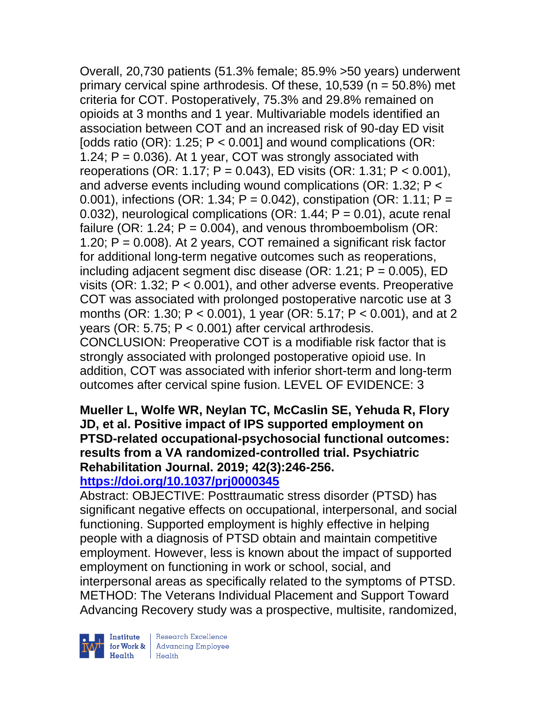Overall, 20,730 patients (51.3% female; 85.9% >50 years) underwent primary cervical spine arthrodesis. Of these, 10,539 (n = 50.8%) met criteria for COT. Postoperatively, 75.3% and 29.8% remained on opioids at 3 months and 1 year. Multivariable models identified an association between COT and an increased risk of 90-day ED visit [odds ratio (OR):  $1.25$ ; P < 0.001] and wound complications (OR: 1.24;  $P = 0.036$ ). At 1 year, COT was strongly associated with reoperations (OR: 1.17; P = 0.043), ED visits (OR: 1.31; P < 0.001), and adverse events including wound complications (OR: 1.32; P < 0.001), infections (OR: 1.34;  $P = 0.042$ ), constipation (OR: 1.11;  $P =$ 0.032), neurological complications (OR: 1.44;  $P = 0.01$ ), acute renal failure (OR: 1.24;  $P = 0.004$ ), and venous thromboembolism (OR: 1.20;  $P = 0.008$ ). At 2 years, COT remained a significant risk factor for additional long-term negative outcomes such as reoperations, including adjacent segment disc disease (OR: 1.21;  $P = 0.005$ ), ED visits (OR: 1.32; P < 0.001), and other adverse events. Preoperative COT was associated with prolonged postoperative narcotic use at 3 months (OR: 1.30; P < 0.001), 1 year (OR: 5.17; P < 0.001), and at 2 years (OR: 5.75; P < 0.001) after cervical arthrodesis. CONCLUSION: Preoperative COT is a modifiable risk factor that is strongly associated with prolonged postoperative opioid use. In addition, COT was associated with inferior short-term and long-term outcomes after cervical spine fusion. LEVEL OF EVIDENCE: 3

#### **Mueller L, Wolfe WR, Neylan TC, McCaslin SE, Yehuda R, Flory JD, et al. Positive impact of IPS supported employment on PTSD-related occupational-psychosocial functional outcomes: results from a VA randomized-controlled trial. Psychiatric Rehabilitation Journal. 2019; 42(3):246-256. <https://doi.org/10.1037/prj0000345>**

Abstract: OBJECTIVE: Posttraumatic stress disorder (PTSD) has significant negative effects on occupational, interpersonal, and social functioning. Supported employment is highly effective in helping people with a diagnosis of PTSD obtain and maintain competitive employment. However, less is known about the impact of supported employment on functioning in work or school, social, and interpersonal areas as specifically related to the symptoms of PTSD. METHOD: The Veterans Individual Placement and Support Toward Advancing Recovery study was a prospective, multisite, randomized,



| Research Excellence for Work & | Advancing Employee Health Health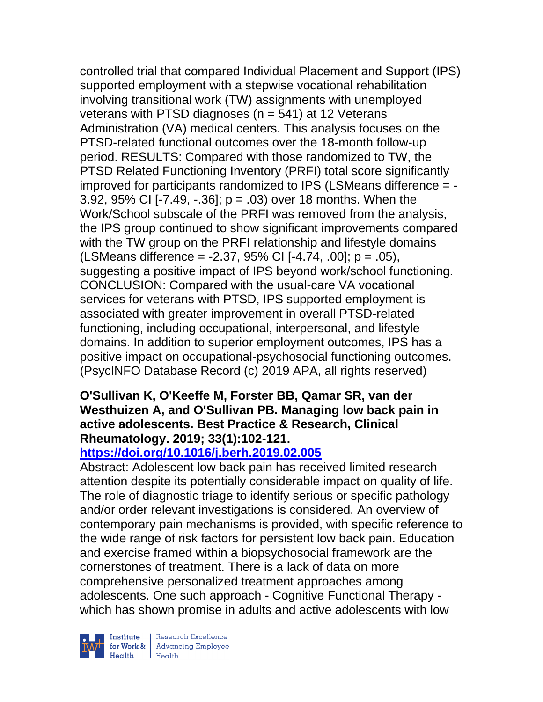controlled trial that compared Individual Placement and Support (IPS) supported employment with a stepwise vocational rehabilitation involving transitional work (TW) assignments with unemployed veterans with PTSD diagnoses ( $n = 541$ ) at 12 Veterans Administration (VA) medical centers. This analysis focuses on the PTSD-related functional outcomes over the 18-month follow-up period. RESULTS: Compared with those randomized to TW, the PTSD Related Functioning Inventory (PRFI) total score significantly improved for participants randomized to IPS (LSMeans difference = - 3.92, 95% CI [-7.49, -.36]; p = .03) over 18 months. When the Work/School subscale of the PRFI was removed from the analysis, the IPS group continued to show significant improvements compared with the TW group on the PRFI relationship and lifestyle domains (LSMeans difference = -2.37, 95% CI [-4.74, .00]; p = .05), suggesting a positive impact of IPS beyond work/school functioning. CONCLUSION: Compared with the usual-care VA vocational services for veterans with PTSD, IPS supported employment is associated with greater improvement in overall PTSD-related functioning, including occupational, interpersonal, and lifestyle domains. In addition to superior employment outcomes, IPS has a positive impact on occupational-psychosocial functioning outcomes. (PsycINFO Database Record (c) 2019 APA, all rights reserved)

#### **O'Sullivan K, O'Keeffe M, Forster BB, Qamar SR, van der Westhuizen A, and O'Sullivan PB. Managing low back pain in active adolescents. Best Practice & Research, Clinical Rheumatology. 2019; 33(1):102-121.**

# **<https://doi.org/10.1016/j.berh.2019.02.005>**

Abstract: Adolescent low back pain has received limited research attention despite its potentially considerable impact on quality of life. The role of diagnostic triage to identify serious or specific pathology and/or order relevant investigations is considered. An overview of contemporary pain mechanisms is provided, with specific reference to the wide range of risk factors for persistent low back pain. Education and exercise framed within a biopsychosocial framework are the cornerstones of treatment. There is a lack of data on more comprehensive personalized treatment approaches among adolescents. One such approach - Cognitive Functional Therapy which has shown promise in adults and active adolescents with low



| Research Excellence Financial Research Excellence<br>
Financial Realth<br>
Realth<br>
Realth<br>
Realth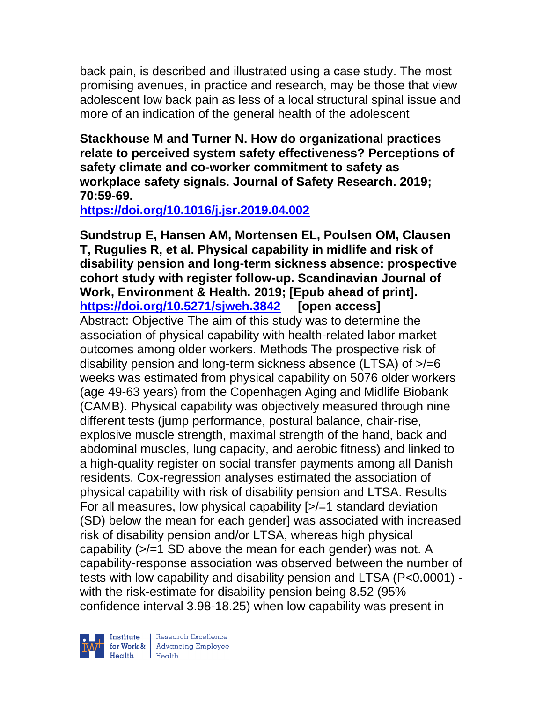back pain, is described and illustrated using a case study. The most promising avenues, in practice and research, may be those that view adolescent low back pain as less of a local structural spinal issue and more of an indication of the general health of the adolescent

**Stackhouse M and Turner N. How do organizational practices relate to perceived system safety effectiveness? Perceptions of safety climate and co-worker commitment to safety as workplace safety signals. Journal of Safety Research. 2019; 70:59-69.** 

**<https://doi.org/10.1016/j.jsr.2019.04.002>** 

**Sundstrup E, Hansen AM, Mortensen EL, Poulsen OM, Clausen T, Rugulies R, et al. Physical capability in midlife and risk of disability pension and long-term sickness absence: prospective cohort study with register follow-up. Scandinavian Journal of Work, Environment & Health. 2019; [Epub ahead of print]. <https://doi.org/10.5271/sjweh.3842> [open access]** Abstract: Objective The aim of this study was to determine the association of physical capability with health-related labor market outcomes among older workers. Methods The prospective risk of disability pension and long-term sickness absence (LTSA) of >/=6 weeks was estimated from physical capability on 5076 older workers (age 49-63 years) from the Copenhagen Aging and Midlife Biobank (CAMB). Physical capability was objectively measured through nine different tests (jump performance, postural balance, chair-rise, explosive muscle strength, maximal strength of the hand, back and abdominal muscles, lung capacity, and aerobic fitness) and linked to a high-quality register on social transfer payments among all Danish residents. Cox-regression analyses estimated the association of physical capability with risk of disability pension and LTSA. Results For all measures, low physical capability [>/=1 standard deviation (SD) below the mean for each gender] was associated with increased risk of disability pension and/or LTSA, whereas high physical capability (>/=1 SD above the mean for each gender) was not. A capability-response association was observed between the number of tests with low capability and disability pension and LTSA (P<0.0001) with the risk-estimate for disability pension being 8.52 (95% confidence interval 3.98-18.25) when low capability was present in

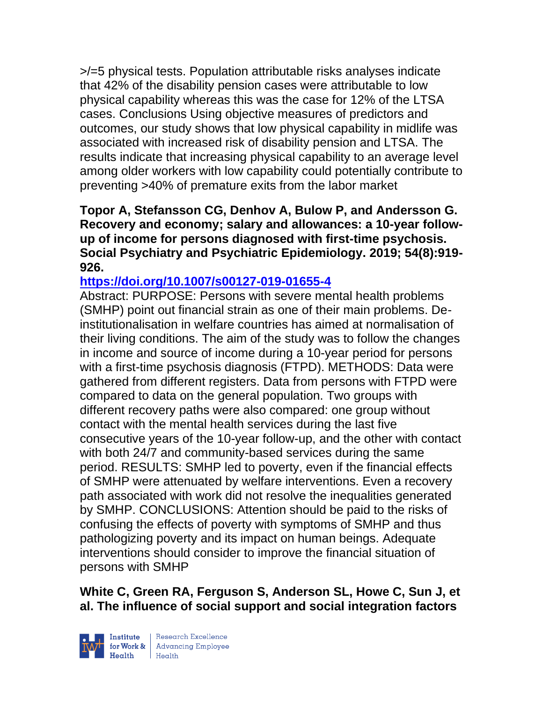>/=5 physical tests. Population attributable risks analyses indicate that 42% of the disability pension cases were attributable to low physical capability whereas this was the case for 12% of the LTSA cases. Conclusions Using objective measures of predictors and outcomes, our study shows that low physical capability in midlife was associated with increased risk of disability pension and LTSA. The results indicate that increasing physical capability to an average level among older workers with low capability could potentially contribute to preventing >40% of premature exits from the labor market

**Topor A, Stefansson CG, Denhov A, Bulow P, and Andersson G. Recovery and economy; salary and allowances: a 10-year followup of income for persons diagnosed with first-time psychosis. Social Psychiatry and Psychiatric Epidemiology. 2019; 54(8):919- 926.** 

#### **<https://doi.org/10.1007/s00127-019-01655-4>**

Abstract: PURPOSE: Persons with severe mental health problems (SMHP) point out financial strain as one of their main problems. Deinstitutionalisation in welfare countries has aimed at normalisation of their living conditions. The aim of the study was to follow the changes in income and source of income during a 10-year period for persons with a first-time psychosis diagnosis (FTPD). METHODS: Data were gathered from different registers. Data from persons with FTPD were compared to data on the general population. Two groups with different recovery paths were also compared: one group without contact with the mental health services during the last five consecutive years of the 10-year follow-up, and the other with contact with both 24/7 and community-based services during the same period. RESULTS: SMHP led to poverty, even if the financial effects of SMHP were attenuated by welfare interventions. Even a recovery path associated with work did not resolve the inequalities generated by SMHP. CONCLUSIONS: Attention should be paid to the risks of confusing the effects of poverty with symptoms of SMHP and thus pathologizing poverty and its impact on human beings. Adequate interventions should consider to improve the financial situation of persons with SMHP

**White C, Green RA, Ferguson S, Anderson SL, Howe C, Sun J, et al. The influence of social support and social integration factors** 



| Research Excellence for Work & Advancing Employee<br>Health Health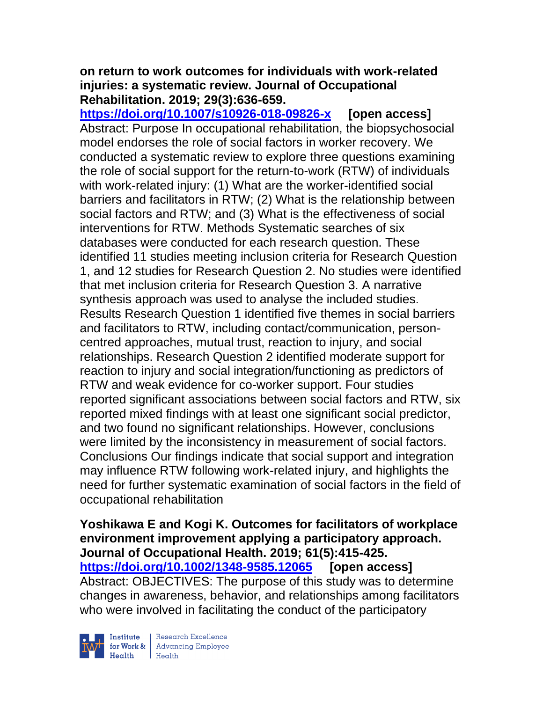#### **on return to work outcomes for individuals with work-related injuries: a systematic review. Journal of Occupational Rehabilitation. 2019; 29(3):636-659.**

**<https://doi.org/10.1007/s10926-018-09826-x> [open access]** Abstract: Purpose In occupational rehabilitation, the biopsychosocial model endorses the role of social factors in worker recovery. We conducted a systematic review to explore three questions examining the role of social support for the return-to-work (RTW) of individuals with work-related injury: (1) What are the worker-identified social barriers and facilitators in RTW; (2) What is the relationship between social factors and RTW; and (3) What is the effectiveness of social interventions for RTW. Methods Systematic searches of six databases were conducted for each research question. These identified 11 studies meeting inclusion criteria for Research Question 1, and 12 studies for Research Question 2. No studies were identified that met inclusion criteria for Research Question 3. A narrative synthesis approach was used to analyse the included studies. Results Research Question 1 identified five themes in social barriers and facilitators to RTW, including contact/communication, personcentred approaches, mutual trust, reaction to injury, and social relationships. Research Question 2 identified moderate support for reaction to injury and social integration/functioning as predictors of RTW and weak evidence for co-worker support. Four studies reported significant associations between social factors and RTW, six reported mixed findings with at least one significant social predictor, and two found no significant relationships. However, conclusions were limited by the inconsistency in measurement of social factors. Conclusions Our findings indicate that social support and integration may influence RTW following work-related injury, and highlights the need for further systematic examination of social factors in the field of occupational rehabilitation

**Yoshikawa E and Kogi K. Outcomes for facilitators of workplace environment improvement applying a participatory approach. Journal of Occupational Health. 2019; 61(5):415-425. <https://doi.org/10.1002/1348-9585.12065> [open access]** Abstract: OBJECTIVES: The purpose of this study was to determine changes in awareness, behavior, and relationships among facilitators who were involved in facilitating the conduct of the participatory



| Research Excellence **Example 18 Advancing Employee**<br> **Health** Health<br>
Health